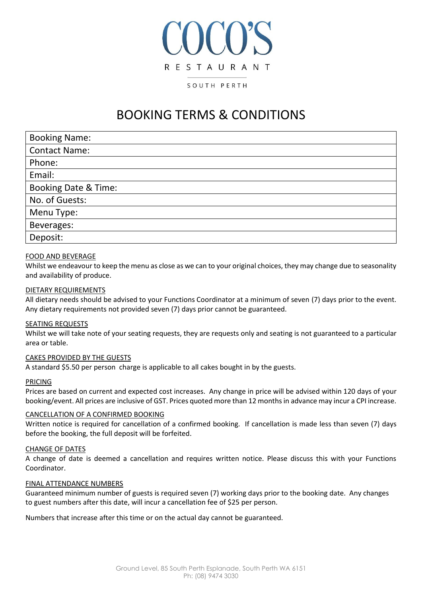# **ICO'S RESTAURANT** SOUTH PERTH

# BOOKING TERMS & CONDITIONS

| <b>Booking Name:</b>            |
|---------------------------------|
| <b>Contact Name:</b>            |
| Phone:                          |
| Email:                          |
| <b>Booking Date &amp; Time:</b> |
| No. of Guests:                  |
| Menu Type:                      |
| Beverages:                      |
| Deposit:                        |

## FOOD AND BEVERAGE

Whilst we endeavour to keep the menu as close as we can to your original choices, they may change due to seasonality and availability of produce.

#### DIETARY REQUIREMENTS

All dietary needs should be advised to your Functions Coordinator at a minimum of seven (7) days prior to the event. Any dietary requirements not provided seven (7) days prior cannot be guaranteed.

#### SEATING REQUESTS

Whilst we will take note of your seating requests, they are requests only and seating is not guaranteed to a particular area or table.

#### CAKES PROVIDED BY THE GUESTS

A standard \$5.50 per person charge is applicable to all cakes bought in by the guests.

#### PRICING

Prices are based on current and expected cost increases. Any change in price will be advised within 120 days of your booking/event. All prices are inclusive of GST. Prices quoted more than 12 months in advance may incur a CPI increase.

#### CANCELLATION OF A CONFIRMED BOOKING

Written notice is required for cancellation of a confirmed booking. If cancellation is made less than seven (7) days before the booking, the full deposit will be forfeited.

#### CHANGE OF DATES

A change of date is deemed a cancellation and requires written notice. Please discuss this with your Functions Coordinator.

#### FINAL ATTENDANCE NUMBERS

Guaranteed minimum number of guests is required seven (7) working days prior to the booking date. Any changes to guest numbers after this date, will incur a cancellation fee of \$25 per person.

Numbers that increase after this time or on the actual day cannot be guaranteed.